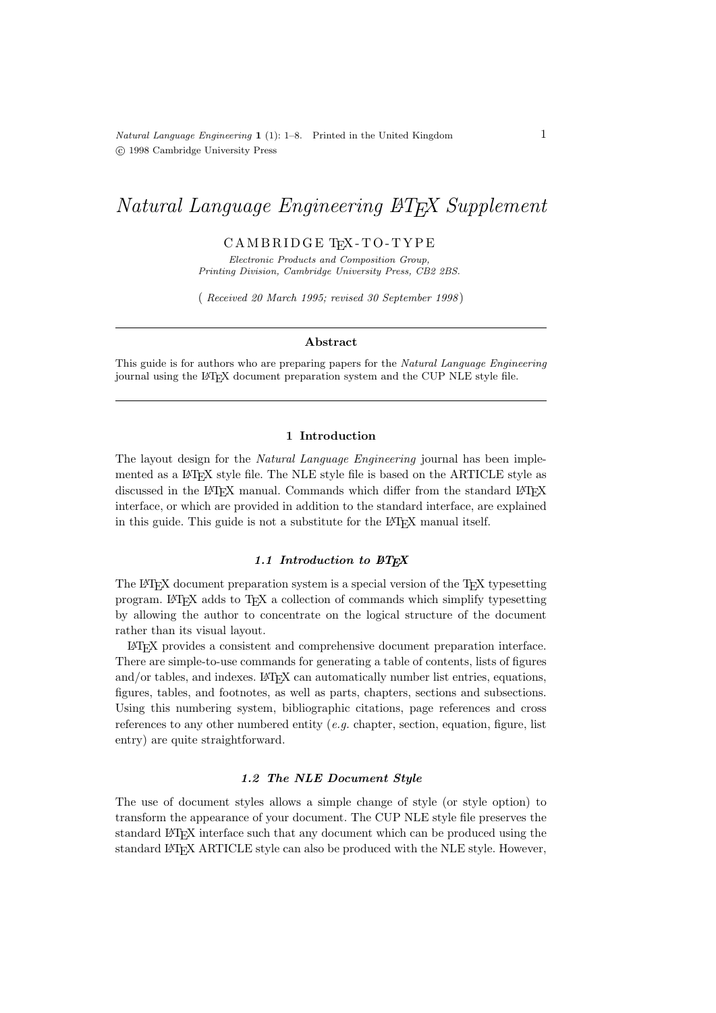Natural Language Engineering 1 (1): 1–8. Printed in the United Kingdom c 1998 Cambridge University Press

# Natural Language Engineering HT<sub>E</sub>X Supplement

# C AM B R I D G E TEX - T O - T Y P E

Electronic Products and Composition Group, Printing Division, Cambridge University Press, CB2 2BS.

( Received 20 March 1995; revised 30 September 1998 )

#### Abstract

This guide is for authors who are preparing papers for the Natural Language Engineering journal using the LATEX document preparation system and the CUP NLE style file.

#### 1 Introduction

The layout design for the *Natural Language Engineering* journal has been implemented as a L<sup>AT</sup>EX style file. The NLE style file is based on the ARTICLE style as discussed in the LATEX manual. Commands which differ from the standard LATEX interface, or which are provided in addition to the standard interface, are explained in this guide. This guide is not a substitute for the LAT<sub>EX</sub> manual itself.

## 1.1 Introduction to  $BT_FX$

The LAT<sub>EX</sub> document preparation system is a special version of the T<sub>EX</sub> typesetting program. LATEX adds to TEX a collection of commands which simplify typesetting by allowing the author to concentrate on the logical structure of the document rather than its visual layout.

LATEX provides a consistent and comprehensive document preparation interface. There are simple-to-use commands for generating a table of contents, lists of figures and/or tables, and indexes. LAT<sub>EX</sub> can automatically number list entries, equations, figures, tables, and footnotes, as well as parts, chapters, sections and subsections. Using this numbering system, bibliographic citations, page references and cross references to any other numbered entity  $(e.g.$  chapter, section, equation, figure, list entry) are quite straightforward.

#### 1.2 The NLE Document Style

The use of document styles allows a simple change of style (or style option) to transform the appearance of your document. The CUP NLE style file preserves the standard LATEX interface such that any document which can be produced using the standard LATEX ARTICLE style can also be produced with the NLE style. However,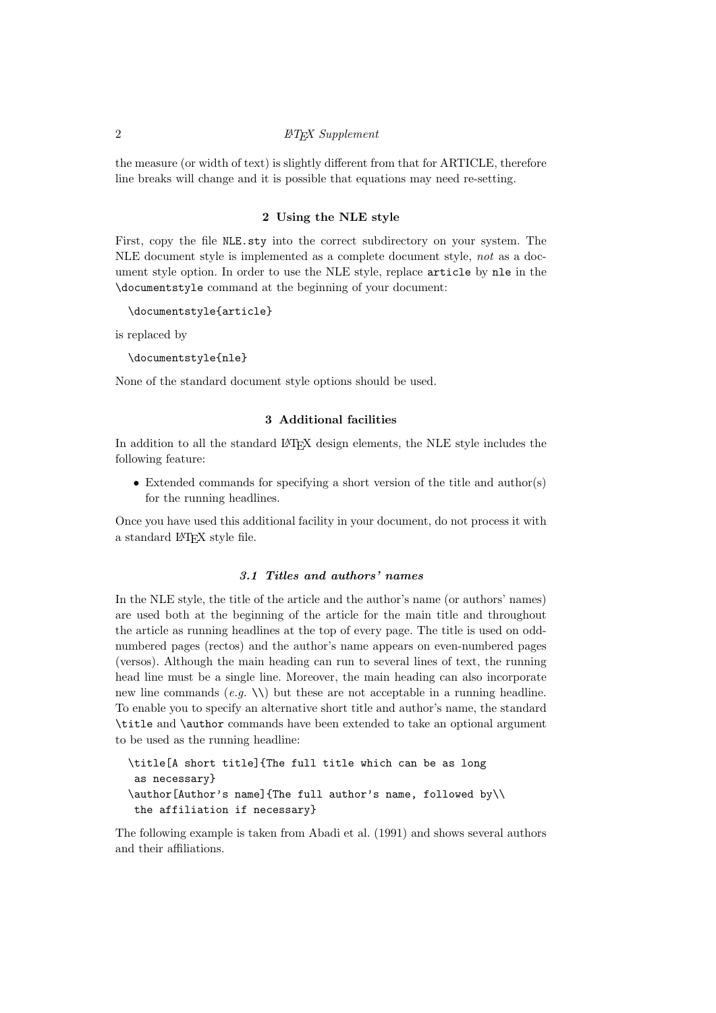## 2 **LATEX** Supplement

the measure (or width of text) is slightly different from that for ARTICLE, therefore line breaks will change and it is possible that equations may need re-setting.

## 2 Using the NLE style

First, copy the file NLE.sty into the correct subdirectory on your system. The NLE document style is implemented as a complete document style, not as a document style option. In order to use the NLE style, replace article by nle in the \documentstyle command at the beginning of your document:

```
\documentstyle{article}
```
is replaced by

```
\documentstyle{nle}
```
None of the standard document style options should be used.

## 3 Additional facilities

In addition to all the standard LAT<sub>EX</sub> design elements, the NLE style includes the following feature:

• Extended commands for specifying a short version of the title and author(s) for the running headlines.

Once you have used this additional facility in your document, do not process it with a standard LATEX style file.

#### 3.1 Titles and authors' names

In the NLE style, the title of the article and the author's name (or authors' names) are used both at the beginning of the article for the main title and throughout the article as running headlines at the top of every page. The title is used on oddnumbered pages (rectos) and the author's name appears on even-numbered pages (versos). Although the main heading can run to several lines of text, the running head line must be a single line. Moreover, the main heading can also incorporate new line commands  $(e,q, \lambda)$  but these are not acceptable in a running headline. To enable you to specify an alternative short title and author's name, the standard \title and \author commands have been extended to take an optional argument to be used as the running headline:

```
\title[A short title]{The full title which can be as long
 as necessary}
\author[Author's name]{The full author's name, followed by\\
 the affiliation if necessary}
```
The following example is taken from Abadi et al. (1991) and shows several authors and their affiliations.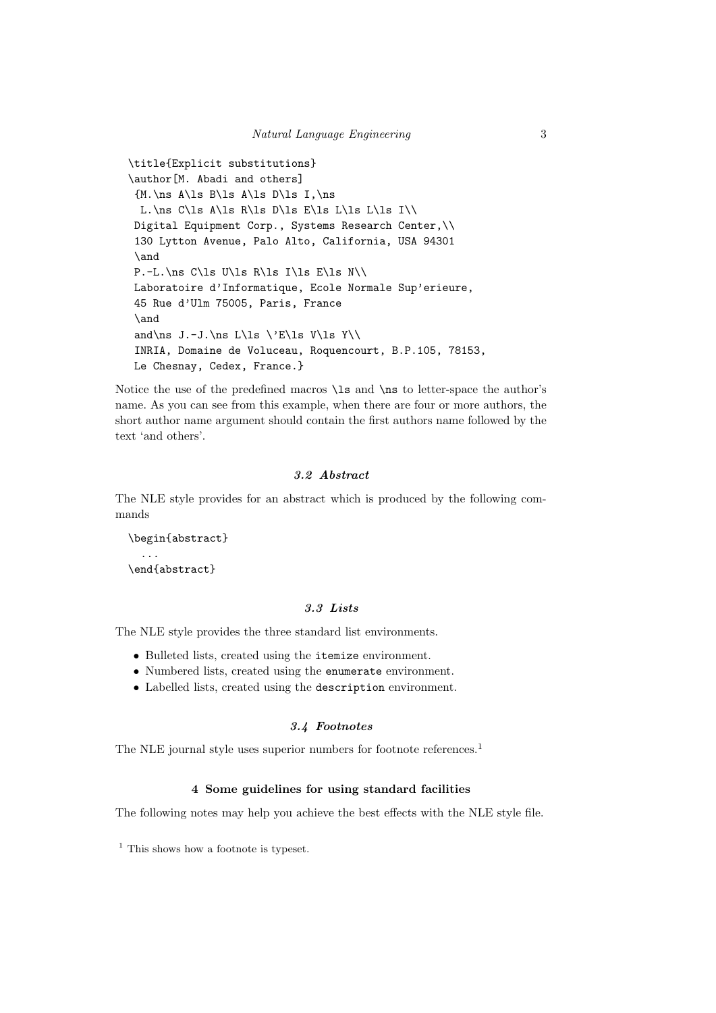```
\title{Explicit substitutions}
\author[M. Abadi and others]
 {M.\ns A\ls B\ls A\ls D\ls I,\ns
 L.\ns C\ls A\ls R\ls D\ls E\ls L\ls L\ls I\\
 Digital Equipment Corp., Systems Research Center,\\
 130 Lytton Avenue, Palo Alto, California, USA 94301
 \and
P.-L.\ns C\ls U\ls R\ls I\ls E\ls N\\
Laboratoire d'Informatique, Ecole Normale Sup'erieure,
 45 Rue d'Ulm 75005, Paris, France
 \and
 and\ns J.-J.\ns L\ls \'E\ls V\ls Y\\
 INRIA, Domaine de Voluceau, Roquencourt, B.P.105, 78153,
Le Chesnay, Cedex, France.}
```
Notice the use of the predefined macros \ls and \ns to letter-space the author's name. As you can see from this example, when there are four or more authors, the short author name argument should contain the first authors name followed by the text 'and others'.

#### 3.2 Abstract

The NLE style provides for an abstract which is produced by the following commands

```
\begin{abstract}
  ...
\end{abstract}
```
#### 3.3 Lists

The NLE style provides the three standard list environments.

- Bulleted lists, created using the itemize environment.
- Numbered lists, created using the enumerate environment.
- Labelled lists, created using the description environment.

#### 3.4 Footnotes

The NLE journal style uses superior numbers for footnote references.<sup>1</sup>

#### 4 Some guidelines for using standard facilities

The following notes may help you achieve the best effects with the NLE style file.

<sup>1</sup> This shows how a footnote is typeset.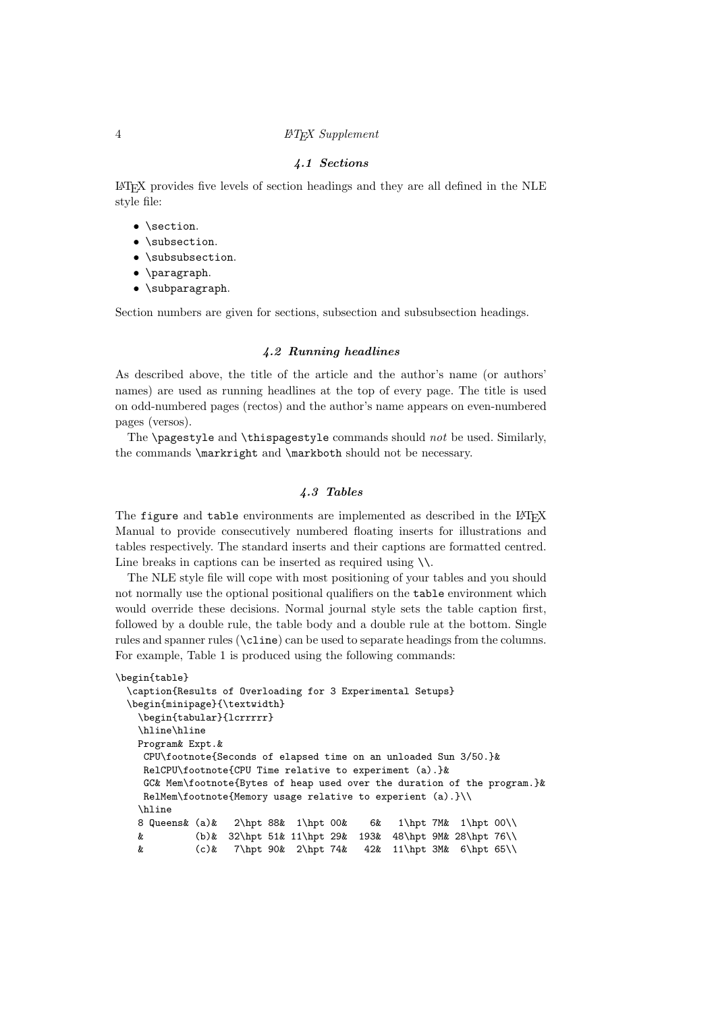#### 4 **LATEX** Supplement

## 4.1 Sections

LATEX provides five levels of section headings and they are all defined in the NLE style file:

- \section.
- \subsection.
- \subsubsection.
- \paragraph.
- \subparagraph.

Section numbers are given for sections, subsection and subsubsection headings.

## 4.2 Running headlines

As described above, the title of the article and the author's name (or authors' names) are used as running headlines at the top of every page. The title is used on odd-numbered pages (rectos) and the author's name appears on even-numbered pages (versos).

The  $\text{pagestyle}$  and  $\text{thispagestyle}$  commands should not be used. Similarly, the commands \markright and \markboth should not be necessary.

## 4.3 Tables

The figure and table environments are implemented as described in the LAT<sub>E</sub>X Manual to provide consecutively numbered floating inserts for illustrations and tables respectively. The standard inserts and their captions are formatted centred. Line breaks in captions can be inserted as required using  $\setminus \mathcal{L}$ .

The NLE style file will cope with most positioning of your tables and you should not normally use the optional positional qualifiers on the table environment which would override these decisions. Normal journal style sets the table caption first, followed by a double rule, the table body and a double rule at the bottom. Single rules and spanner rules (\cline) can be used to separate headings from the columns. For example, Table 1 is produced using the following commands:

```
\begin{table}
 \caption{Results of Overloading for 3 Experimental Setups}
 \begin{minipage}{\textwidth}
   \begin{tabular}{lcrrrrr}
   \hline\hline
   Program& Expt.&
    CPU\footnote{Seconds of elapsed time on an unloaded Sun 3/50.}&
    RelCPU\footnote{CPU Time relative to experiment (a).}&
    GC& Mem\footnote{Bytes of heap used over the duration of the program.}&
    RelMem\footnote{Memory usage relative to experient (a).}\\
   \hline
   8 Queens& (a)& 2\hpt 88& 1\hpt 00& 6& 1\hpt 7M& 1\hpt 00\\
   & (b)& 32\hpt 51& 11\hpt 29& 193& 48\hpt 9M& 28\hpt 76\\
   & (c)& 7\hpt 90& 2\hpt 74& 42& 11\hpt 3M& 6\hpt 65\\
```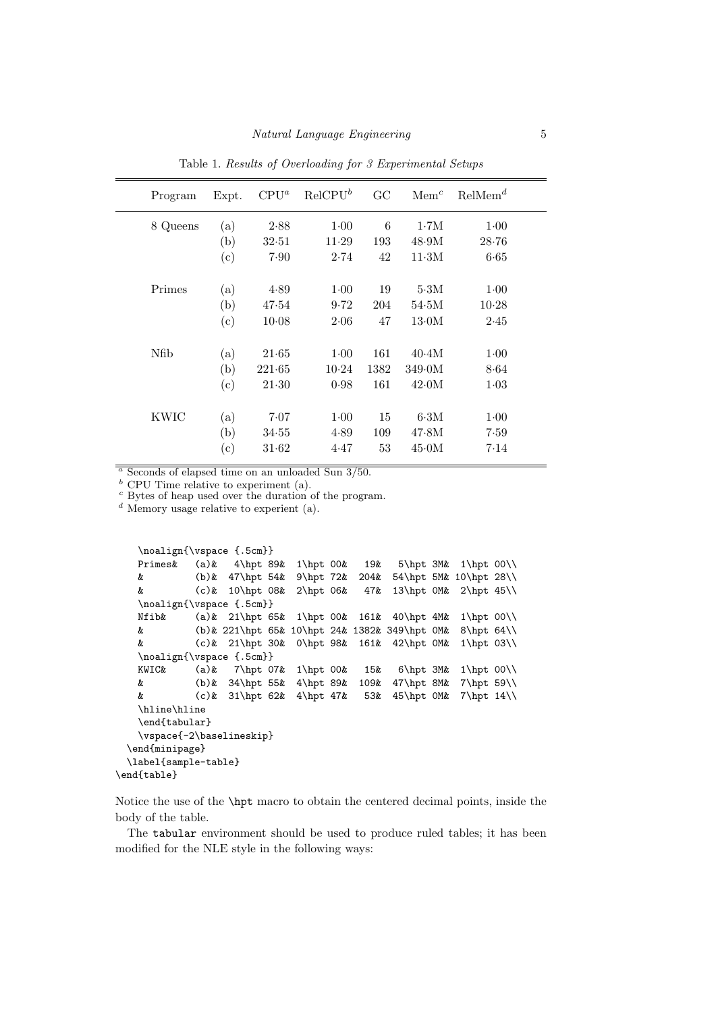| Program  | Expt.                    | $\mathrm{CPU}^a$ | RelCPU <sup>b</sup> | GC   | Mem <sup>c</sup> | $RelMem^d$ |
|----------|--------------------------|------------------|---------------------|------|------------------|------------|
| 8 Queens | (a)                      | 2.88             | $1-00$              | 6    | 1.7M             | $1-00$     |
|          | (b)                      | 32.51            | $11-29$             | 193  | 48.9M            | $28 - 76$  |
|          | $\left( \text{c}\right)$ | 7.90             | 2.74                | 42   | 11.3M            | 6.65       |
| Primes   | (a)                      | 4.89             | $1-00$              | 19   | 5.3M             | $1-00$     |
|          | (b)                      | 47.54            | 9.72                | 204  | 54.5M            | $10-28$    |
|          | $\left( $                | $10-08$          | 2.06                | 47   | 13.0M            | 2.45       |
| Nfib     | (a)                      | $21-65$          | $1-00$              | 161  | 40.4M            | $1-00$     |
|          | (b)                      | 221.65           | 10.24               | 1382 | 349.0M           | 8.64       |
|          | (c)                      | $21-30$          | 0.98                | 161  | 42.0M            | $1-03$     |
| KWIC     | (a)                      | 7.07             | $1-00$              | 15   | 6.3M             | $1-00$     |
|          | (b)                      | 34.55            | 4.89                | 109  | 47.8M            | 7.59       |
|          | $\rm ^{(c)}$             | 31.62            | 4.47                | 53   | 45.0M            | 7.14       |
|          |                          |                  |                     |      |                  |            |

Table 1. Results of Overloading for 3 Experimental Setups

 $\sqrt{a}$  Seconds of elapsed time on an unloaded Sun 3/50.

 $<sup>b</sup>$  CPU Time relative to experiment (a).</sup>

 $c$  Bytes of heap used over the duration of the program.

 $d$  Memory usage relative to experient (a).

```
\noalign{\vspace {.5cm}}
   Primes& (a)& 4\hpt 89& 1\hpt 00& 19& 5\hpt 3M& 1\hpt 00\\
   & (b)& 47\hpt 54& 9\hpt 72& 204& 54\hpt 5M& 10\hpt 28\\
   & (c)& 10\hpt 08& 2\hpt 06& 47& 13\hpt 0M& 2\hpt 45\\
   \noalign{\vspace {.5cm}}
   Nfib& (a)& 21\hpt 65& 1\hpt 00& 161& 40\hpt 4M& 1\hpt 00\\
   & (b)& 221\hpt 65& 10\hpt 24& 1382& 349\hpt 0M& 8\hpt 64\\
   & (c)& 21\hpt 30& 0\hpt 98& 161& 42\hpt 0M& 1\hpt 03\\
   \noalign{\vspace {.5cm}}
   KWIC& (a)& 7\hpt 07& 1\hpt 00& 15& 6\hpt 3M& 1\hpt 00\\
   & (b)& 34\hpt 55& 4\hpt 89& 109& 47\hpt 8M& 7\hpt 59\\ \& (c)& 31\hpt 62& 4\hpt 47& 53& 45\hpt 0M& 7\hpt 14\\
   \& (c) \& 31\hpt 62 \ 4\hpt 47\
   \hline\hline
   \end{tabular}
   \vspace{-2\baselineskip}
  \end{minipage}
 \label{sample-table}
\end{table}
```
Notice the use of the \hpt macro to obtain the centered decimal points, inside the body of the table.

The tabular environment should be used to produce ruled tables; it has been modified for the NLE style in the following ways: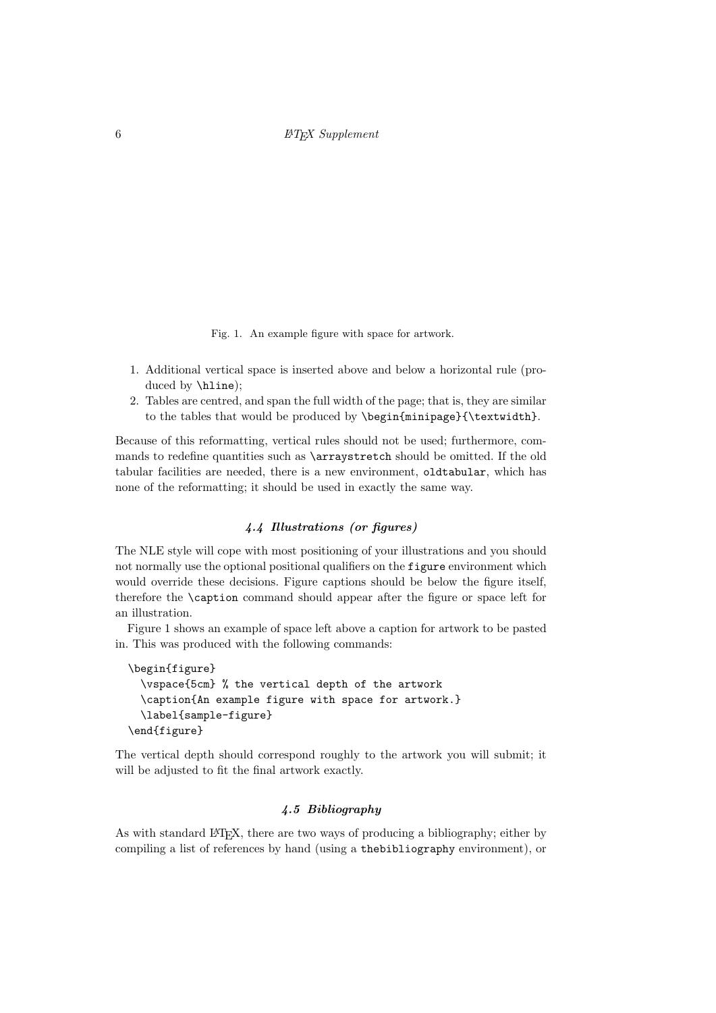6 **LATEX** Supplement

Fig. 1. An example figure with space for artwork.

- 1. Additional vertical space is inserted above and below a horizontal rule (produced by \hline);
- 2. Tables are centred, and span the full width of the page; that is, they are similar to the tables that would be produced by \begin{minipage}{\textwidth}.

Because of this reformatting, vertical rules should not be used; furthermore, commands to redefine quantities such as \arraystretch should be omitted. If the old tabular facilities are needed, there is a new environment, oldtabular, which has none of the reformatting; it should be used in exactly the same way.

## 4.4 Illustrations (or figures)

The NLE style will cope with most positioning of your illustrations and you should not normally use the optional positional qualifiers on the figure environment which would override these decisions. Figure captions should be below the figure itself, therefore the \caption command should appear after the figure or space left for an illustration.

Figure 1 shows an example of space left above a caption for artwork to be pasted in. This was produced with the following commands:

```
\begin{figure}
  \vspace{5cm} % the vertical depth of the artwork
  \caption{An example figure with space for artwork.}
  \label{sample-figure}
\end{figure}
```
The vertical depth should correspond roughly to the artwork you will submit; it will be adjusted to fit the final artwork exactly.

## 4.5 Bibliography

As with standard LAT<sub>EX</sub>, there are two ways of producing a bibliography; either by compiling a list of references by hand (using a thebibliography environment), or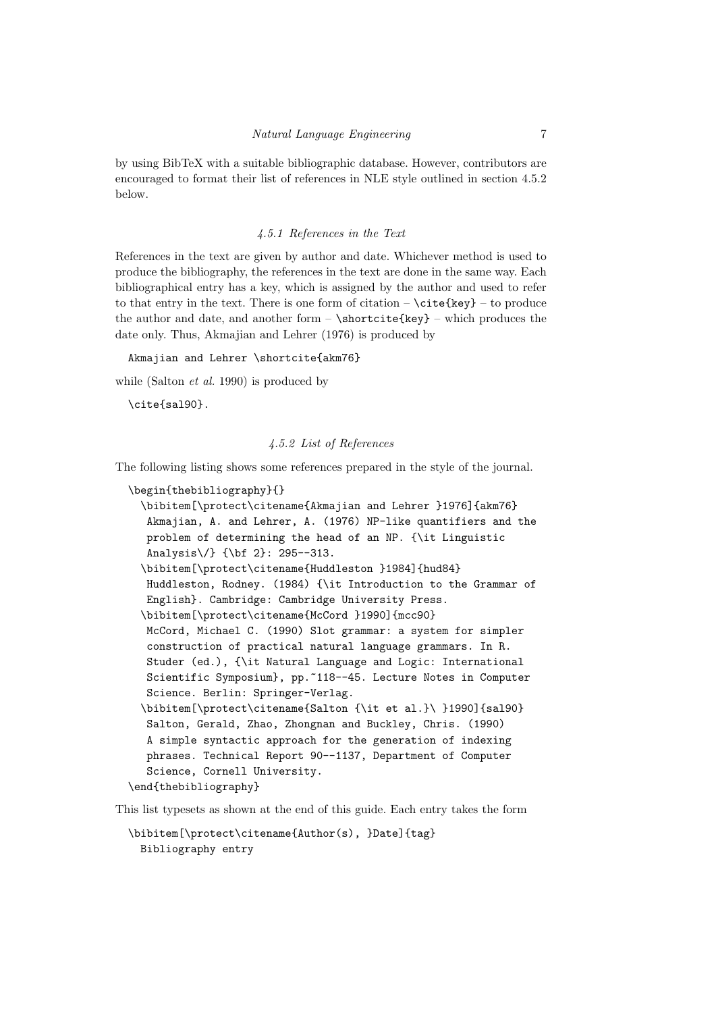by using BibTeX with a suitable bibliographic database. However, contributors are encouraged to format their list of references in NLE style outlined in section 4.5.2 below.

## 4.5.1 References in the Text

References in the text are given by author and date. Whichever method is used to produce the bibliography, the references in the text are done in the same way. Each bibliographical entry has a key, which is assigned by the author and used to refer to that entry in the text. There is one form of citation  $-\c{tie\{key\}} - to$  produce the author and date, and another form  $-\s{shortcite{key} - which produces the$ date only. Thus, Akmajian and Lehrer (1976) is produced by

Akmajian and Lehrer \shortcite{akm76}

while (Salton *et al.* 1990) is produced by

\cite{sal90}.

# 4.5.2 List of References

The following listing shows some references prepared in the style of the journal.

```
\begin{thebibliography}{}
  \bibitem[\protect\citename{Akmajian and Lehrer }1976]{akm76}
  Akmajian, A. and Lehrer, A. (1976) NP-like quantifiers and the
  problem of determining the head of an NP. {\it Linguistic
   Analysis\/} {\bf 2}: 295--313.
  \bibitem[\protect\citename{Huddleston }1984]{hud84}
  Huddleston, Rodney. (1984) {\it Introduction to the Grammar of
  English}. Cambridge: Cambridge University Press.
  \bibitem[\protect\citename{McCord }1990]{mcc90}
  McCord, Michael C. (1990) Slot grammar: a system for simpler
  construction of practical natural language grammars. In R.
  Studer (ed.), {\it Natural Language and Logic: International
  Scientific Symposium}, pp.~118--45. Lecture Notes in Computer
  Science. Berlin: Springer-Verlag.
  \bibitem[\protect\citename{Salton {\it et al.}\ }1990]{sal90}
  Salton, Gerald, Zhao, Zhongnan and Buckley, Chris. (1990)
  A simple syntactic approach for the generation of indexing
  phrases. Technical Report 90--1137, Department of Computer
  Science, Cornell University.
\end{thebibliography}
```
This list typesets as shown at the end of this guide. Each entry takes the form

```
\bibitem[\protect\citename{Author(s), }Date]{tag}
  Bibliography entry
```